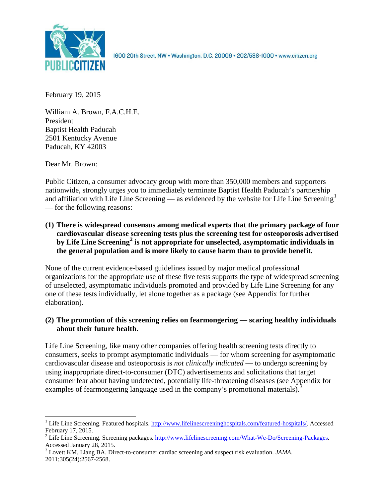

1600 20th Street, NW . Washington, D.C. 20009 . 202/588-1000 . www.citizen.org

February 19, 2015

William A. Brown, F.A.C.H.E. President Baptist Health Paducah 2501 Kentucky Avenue Paducah, KY 42003

Dear Mr. Brown:

Public Citizen, a consumer advocacy group with more than 350,000 members and supporters nationwide, strongly urges you to immediately terminate Baptist Health Paducah's partnership and affiliation with Life Line Screening — as evidenced by the website for Life Line Screening<sup>[1](#page-0-0)</sup> — for the following reasons:

**(1) There is widespread consensus among medical experts that the primary package of four cardiovascular disease screening tests plus the screening test for osteoporosis advertised by Life Line Screening[2](#page-0-1) is not appropriate for unselected, asymptomatic individuals in the general population and is more likely to cause harm than to provide benefit.**

None of the current evidence-based guidelines issued by major medical professional organizations for the appropriate use of these five tests supports the type of widespread screening of unselected, asymptomatic individuals promoted and provided by Life Line Screening for any one of these tests individually, let alone together as a package (see Appendix for further elaboration).

# **(2) The promotion of this screening relies on fearmongering — scaring healthy individuals about their future health.**

Life Line Screening, like many other companies offering health screening tests directly to consumers, seeks to prompt asymptomatic individuals — for whom screening for asymptomatic cardiovascular disease and osteoporosis is *not clinically indicated* — to undergo screening by using inappropriate direct-to-consumer (DTC) advertisements and solicitations that target consumer fear about having undetected, potentially life-threatening diseases (see Appendix for examples of fearmongering language used in the company's promotional materials).<sup>[3](#page-0-2)</sup>

<span id="page-0-0"></span><sup>&</sup>lt;sup>1</sup> Life Line Screening. Featured hospitals.  $\frac{http://www.lifelinescreeninghospitals.com/featured-hospitals/}{$ . Accessed February 17, 2015.

<span id="page-0-1"></span><sup>&</sup>lt;sup>2</sup> Life Line Screening. Screening packages.  $\frac{http://www.lifelinescreening.com/What-We-Do/Screening-Packages. Accessed January 28, 2015.$ 

<span id="page-0-2"></span><sup>&</sup>lt;sup>3</sup> Lovett KM, Liang BA. Direct-to-consumer cardiac screening and suspect risk evaluation. *JAMA*. 2011;305(24):2567-2568.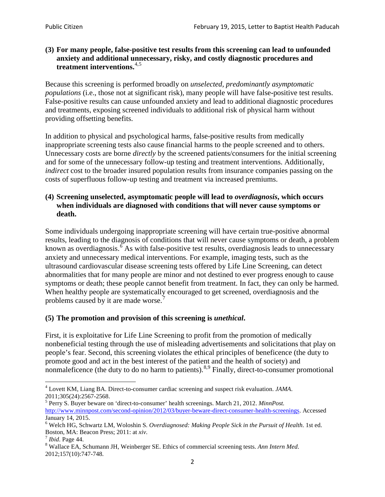## **(3) For many people, false-positive test results from this screening can lead to unfounded anxiety and additional unnecessary, risky, and costly diagnostic procedures and treatment interventions.**[4](#page-1-0),[5](#page-1-1)

Because this screening is performed broadly on *unselected, predominantly asymptomatic populations* (i.e., those not at significant risk), many people will have false**-**positive test results. False-positive results can cause unfounded anxiety and lead to additional diagnostic procedures and treatments, exposing screened individuals to additional risk of physical harm without providing offsetting benefits.

In addition to physical and psychological harms, false-positive results from medically inappropriate screening tests also cause financial harms to the people screened and to others. Unnecessary costs are borne *directly* by the screened patients/consumers for the initial screening and for some of the unnecessary follow-up testing and treatment interventions. Additionally, *indirect* cost to the broader insured population results from insurance companies passing on the costs of superfluous follow-up testing and treatment via increased premiums.

## **(4) Screening unselected, asymptomatic people will lead to** *overdiagnosis***, which occurs when individuals are diagnosed with conditions that will never cause symptoms or death.**

Some individuals undergoing inappropriate screening will have certain true-positive abnormal results, leading to the diagnosis of conditions that will never cause symptoms or death, a problem known as overdiagnosis.<sup>[6](#page-1-2)</sup> As with false-positive test results, overdiagnosis leads to unnecessary anxiety and unnecessary medical interventions. For example, imaging tests, such as the ultrasound cardiovascular disease screening tests offered by Life Line Screening, can detect abnormalities that for many people are minor and not destined to ever progress enough to cause symptoms or death; these people cannot benefit from treatment. In fact, they can only be harmed. When healthy people are systematically encouraged to get screened, overdiagnosis and the problems caused by it are made worse.<sup>[7](#page-1-3)</sup>

# **(5) The promotion and provision of this screening is** *unethical***.**

First, it is exploitative for Life Line Screening to profit from the promotion of medically nonbeneficial testing through the use of misleading advertisements and solicitations that play on people's fear. Second, this screening violates the ethical principles of beneficence (the duty to promote good and act in the best interest of the patient and the health of society) and nonmaleficence (the duty to do no harm to patients).<sup>[8](#page-1-4),[9](#page-1-5)</sup> Finally, direct-to-consumer promotional

<span id="page-1-4"></span>2012;157(10):747-748.

<span id="page-1-5"></span><span id="page-1-0"></span><sup>4</sup> Lovett KM, Liang BA. Direct-to-consumer cardiac screening and suspect risk evaluation. *JAMA*.

<span id="page-1-1"></span><sup>2011;305(24):2567-2568.</sup> <sup>5</sup> Perry S. Buyer beware on 'direct-to-consumer' health screenings. March 21, 2012. *MinnPost.*  [http://www.minnpost.com/second-opinion/2012/03/buyer-beware-direct-consumer-health-screenings.](http://www.minnpost.com/second-opinion/2012/03/buyer-beware-direct-consumer-health-screenings) Accessed January 14, 2015.

<span id="page-1-2"></span><sup>6</sup> Welch HG, Schwartz LM, Woloshin S. *Overdiagnosed: Making People Sick in the Pursuit of Health*. 1st ed. Boston, MA: Beacon Press; 2011: at *xiv*.<br><sup>7</sup> *Ibid*. Page 44.<br><sup>8</sup> Wallace EA, Schumann JH, Weinberger SE. Ethics of commercial screening tests. *Ann Intern Med*.

<span id="page-1-3"></span>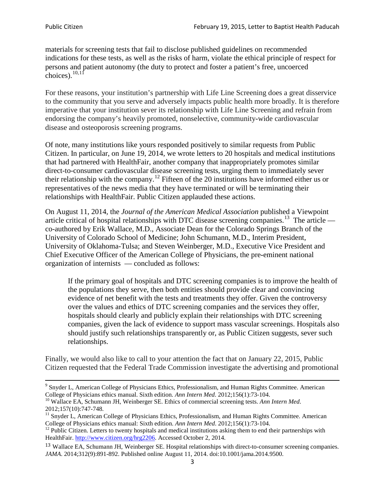materials for screening tests that fail to disclose published guidelines on recommended indications for these tests, as well as the risks of harm, violate the ethical principle of respect for persons and patient autonomy (the duty to protect and foster a patient's free, uncoerced choices). $\frac{10,11}{10,11}$  $\frac{10,11}{10,11}$  $\frac{10,11}{10,11}$  $\frac{10,11}{10,11}$ 

For these reasons, your institution's partnership with Life Line Screening does a great disservice to the community that you serve and adversely impacts public health more broadly. It is therefore imperative that your institution sever its relationship with Life Line Screening and refrain from endorsing the company's heavily promoted, nonselective, community**-**wide cardiovascular disease and osteoporosis screening programs.

Of note, many institutions like yours responded positively to similar requests from Public Citizen. In particular, on June 19, 2014, we wrote letters to 20 hospitals and medical institutions that had partnered with HealthFair, another company that inappropriately promotes similar direct-to-consumer cardiovascular disease screening tests, urging them to immediately sever their relationship with the company. [12](#page-2-2) Fifteen of the 20 institutions have informed either us or representatives of the news media that they have terminated or will be terminating their relationships with HealthFair. Public Citizen applauded these actions.

On August 11, 2014, the *Journal of the American Medical Association* published a Viewpoint article critical of hospital relationships with DTC disease screening companies.<sup>13</sup> The article co-authored by Erik Wallace, M.D., Associate Dean for the Colorado Springs Branch of the University of Colorado School of Medicine; John Schumann, M.D., Interim President, University of Oklahoma-Tulsa; and Steven Weinberger, M.D., Executive Vice President and Chief Executive Officer of the American College of Physicians, the pre**-**eminent national organization of internists — concluded as follows:

If the primary goal of hospitals and DTC screening companies is to improve the health of the populations they serve, then both entities should provide clear and convincing evidence of net benefit with the tests and treatments they offer. Given the controversy over the values and ethics of DTC screening companies and the services they offer, hospitals should clearly and publicly explain their relationships with DTC screening companies, given the lack of evidence to support mass vascular screenings. Hospitals also should justify such relationships transparently or, as Public Citizen suggests, sever such relationships.

Finally, we would also like to call to your attention the fact that on January 22, 2015, Public Citizen requested that the Federal Trade Commission investigate the advertising and promotional

<sup>&</sup>lt;sup>9</sup> Snyder L, American College of Physicians Ethics, Professionalism, and Human Rights Committee. American College of Physicians ethics manual. Sixth edition. Ann Intern Med. 2012;156(1):73-104.

<span id="page-2-0"></span><sup>&</sup>lt;sup>10</sup> Wallace EA, Schumann JH, Weinberger SE. Ethics of commercial screening tests. *Ann Intern Med*. 2012;157(10):747-748.

<span id="page-2-1"></span> $11$  Snyder L, American College of Physicians Ethics, Professionalism, and Human Rights Committee. American College of Physicians ethics manual: Sixth edition. *Ann Intern Med*. 2012;156(1):73-104.<br><sup>12</sup> Public Citizen. Letters to twenty hospitals and medical institutions asking them to end their partnerships with

<span id="page-2-2"></span>HealthFair. [http://www.citizen.org/hrg2206.](http://www.citizen.org/hrg2206) Accessed October 2, 2014.

<span id="page-2-3"></span><sup>13</sup> Wallace EA, Schumann JH, Weinberger SE. Hospital relationships with direct-to-consumer screening companies. *JAMA*. 2014;312(9):891-892. Published online August 11, 2014. doi:10.1001/jama.2014.9500.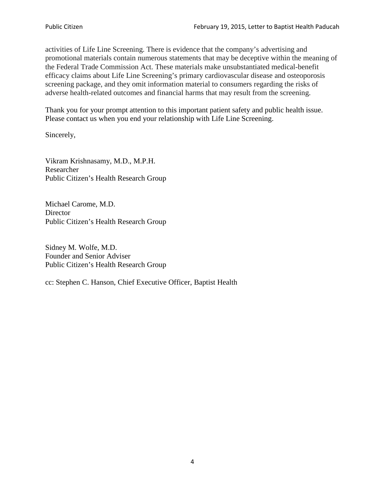activities of Life Line Screening. There is evidence that the company's advertising and promotional materials contain numerous statements that may be deceptive within the meaning of the Federal Trade Commission Act. These materials make unsubstantiated medical-benefit efficacy claims about Life Line Screening's primary cardiovascular disease and osteoporosis screening package, and they omit information material to consumers regarding the risks of adverse health-related outcomes and financial harms that may result from the screening.

Thank you for your prompt attention to this important patient safety and public health issue. Please contact us when you end your relationship with Life Line Screening.

Sincerely,

Vikram Krishnasamy, M.D., M.P.H. Researcher Public Citizen's Health Research Group

Michael Carome, M.D. **Director** Public Citizen's Health Research Group

Sidney M. Wolfe, M.D. Founder and Senior Adviser Public Citizen's Health Research Group

cc: Stephen C. Hanson, Chief Executive Officer, Baptist Health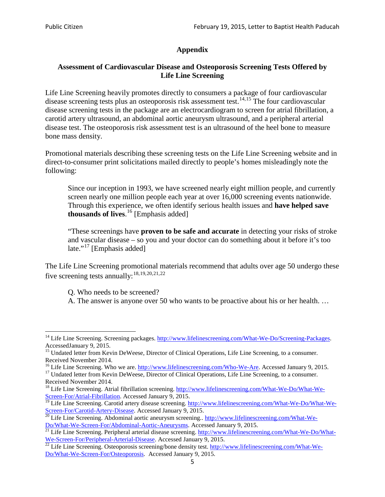# **Appendix**

## **Assessment of Cardiovascular Disease and Osteoporosis Screening Tests Offered by Life Line Screening**

Life Line Screening heavily promotes directly to consumers a package of four cardiovascular disease screening tests plus an osteoporosis risk assessment test.<sup>[14](#page-4-0),[15](#page-4-1)</sup> The four cardiovascular disease screening tests in the package are an electrocardiogram to screen for atrial fibrillation, a carotid artery ultrasound, an abdominal aortic aneurysm ultrasound, and a peripheral arterial disease test. The osteoporosis risk assessment test is an ultrasound of the heel bone to measure bone mass density.

Promotional materials describing these screening tests on the Life Line Screening website and in direct-to-consumer print solicitations mailed directly to people's homes misleadingly note the following:

Since our inception in 1993, we have screened nearly eight million people, and currently screen nearly one million people each year at over 16,000 screening events nationwide. Through this experience, we often identify serious health issues and **have helped save thousands of lives**. [16](#page-4-2) [Emphasis added]

"These screenings have **proven to be safe and accurate** in detecting your risks of stroke and vascular disease – so you and your doctor can do something about it before it's too late."<sup>[17](#page-4-3)</sup> [Emphasis added]

The Life Line Screening promotional materials recommend that adults over age 50 undergo these five screening tests annually:<sup>[18](#page-4-4),[19,](#page-4-5)[20,](#page-4-6)[21](#page-4-7),[22](#page-4-8)</sup>

Q. Who needs to be screened?

A. The answer is anyone over 50 who wants to be proactive about his or her health. …

<span id="page-4-0"></span><sup>&</sup>lt;sup>14</sup> Life Line Screening. Screening packages. [http://www.lifelinescreening.com/What-We-Do/Screening-Packages.](http://www.lifelinescreening.com/What-We-Do/Screening-Packages) AccessedJanuary 9, 2015.

<span id="page-4-1"></span><sup>&</sup>lt;sup>15</sup> Undated letter from Kevin DeWeese, Director of Clinical Operations, Life Line Screening, to a consumer.

Received November 2014.<br><sup>16</sup> Life Line Screening. Who we are. http://www.lifelinescreening.com/Who-We-Are. Accessed January 9, 2015.

<span id="page-4-3"></span><span id="page-4-2"></span><sup>&</sup>lt;sup>17</sup> Undated letter from Kevin DeWeese, Director of Clinical Operations, Life Line Screening, to a consumer. Received November 2014.

<span id="page-4-4"></span><sup>&</sup>lt;sup>18</sup> Life Line Screening. Atrial fibrillation screening. [http://www.lifelinescreening.com/What-We-Do/What-We-](http://www.lifelinescreening.com/What-We-Do/What-We-Screen-For/Atrial-Fibrillation)[Screen-For/Atrial-Fibrillation.](http://www.lifelinescreening.com/What-We-Do/What-We-Screen-For/Atrial-Fibrillation) Accessed January 9, 2015.

<sup>&</sup>lt;sup>19</sup> Life Line Screening. Carotid artery disease screening. [http://www.lifelinescreening.com/What-We-Do/What-We-](http://www.lifelinescreening.com/What-We-Do/What-We-Screen-For/Carotid-Artery-Disease)

<span id="page-4-6"></span><span id="page-4-5"></span>[Screen-For/Carotid-Artery-Disease.](http://www.lifelinescreening.com/What-We-Do/What-We-Screen-For/Carotid-Artery-Disease) Accessed January 9, 2015.<br><sup>20</sup> Life Line Screening. Abdominal aortic aneurysm screening.. http://www.lifelinescreening.com/What-We-Do/What-We-Do/What-We-Screen-For/Abdominal-Aortic-Aneury

<span id="page-4-7"></span><sup>&</sup>lt;sup>21</sup> Life Line Screening. Peripheral arterial disease screening. [http://www.lifelinescreening.com/What-We-Do/What-](http://www.lifelinescreening.com/What-We-Do/What-We-Screen-For/Peripheral-Arterial-Disease)

<span id="page-4-8"></span>[We-Screen-For/Peripheral-Arterial-Disease.](http://www.lifelinescreening.com/What-We-Do/What-We-Screen-For/Peripheral-Arterial-Disease) Accessed January 9, 2015.<br><sup>22</sup> Life Line Screening. Osteoporosis screening/bone density test. [http://www.lifelinescreening.com/What-We-](http://www.lifelinescreening.com/What-We-Do/What-We-Screen-For/Osteoporosis)[Do/What-We-Screen-For/Osteoporosis.](http://www.lifelinescreening.com/What-We-Do/What-We-Screen-For/Osteoporosis) Accessed January 9, 2015.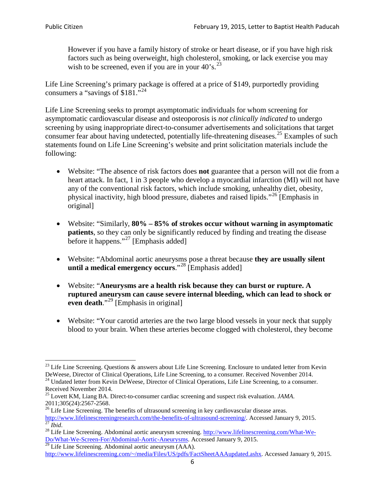However if you have a family history of stroke or heart disease, or if you have high risk factors such as being overweight, high cholesterol, smoking, or lack exercise you may wish to be screened, even if you are in your  $40^{\circ}$ s.<sup>[23](#page-5-0)</sup>

Life Line Screening's primary package is offered at a price of \$149, purportedly providing consumers a "savings of \$181."[24](#page-5-1)

Life Line Screening seeks to prompt asymptomatic individuals for whom screening for asymptomatic cardiovascular disease and osteoporosis is *not clinically indicated* to undergo screening by using inappropriate direct-to-consumer advertisements and solicitations that target consumer fear about having undetected, potentially life-threatening diseases.<sup>[25](#page-5-2)</sup> Examples of such statements found on Life Line Screening's website and print solicitation materials include the following:

- Website: "The absence of risk factors does **not** guarantee that a person will not die from a heart attack. In fact, 1 in 3 people who develop a myocardial infarction (MI) will not have any of the conventional risk factors, which include smoking, unhealthy diet, obesity, physical inactivity, high blood pressure, diabetes and raised lipids."[26](#page-5-3) [Emphasis in original]
- Website: "Similarly, **80% – 85% of strokes occur without warning in asymptomatic patients**, so they can only be significantly reduced by finding and treating the disease before it happens."<sup>[27](#page-5-4)</sup> [Emphasis added]
- Website: "Abdominal aortic aneurysms pose a threat because **they are usually silent until a medical emergency occurs**."[28](#page-5-5) [Emphasis added]
- Website: "**Aneurysms are a health risk because they can burst or rupture. A ruptured aneurysm can cause severe internal bleeding, which can lead to shock or even death.**"<sup>[29](#page-5-6)</sup> [Emphasis in original]
- Website: "Your carotid arteries are the two large blood vessels in your neck that supply blood to your brain. When these arteries become clogged with cholesterol, they become

<span id="page-5-0"></span><sup>&</sup>lt;sup>23</sup> Life Line Screening. Questions  $\&$  answers about Life Line Screening. Enclosure to undated letter from Kevin DeWeese, Director of Clinical Operations, Life Line Screening, to a consumer. Received November 2014.

<span id="page-5-1"></span><sup>&</sup>lt;sup>24</sup> Undated letter from Kevin DeWeese, Director of Clinical Operations, Life Line Screening, to a consumer. Received November 2014.

<span id="page-5-2"></span><sup>25</sup> Lovett KM, Liang BA. Direct-to-consumer cardiac screening and suspect risk evaluation. *JAMA*.  $2011;305(24):2567-2568$ .<br><sup>26</sup> Life Line Screening. The benefits of ultrasound screening in key cardiovascular disease areas.

<span id="page-5-3"></span>[http://www.lifelinescreeningresearch.com/the-benefits-of-ultrasound-screening/.](http://www.lifelinescreeningresearch.com/the-benefits-of-ultrasound-screening/) Accessed January 9, 2015.<br><sup>28</sup> Life Line Screening. Abdominal aortic aneurysm screening. http://www.lifelinescreening.com/What-We-<sup>28</sup>

<span id="page-5-5"></span><span id="page-5-4"></span>[Do/What-We-Screen-For/Abdominal-Aortic-Aneurysms.](http://www.lifelinescreening.com/What-We-Do/What-We-Screen-For/Abdominal-Aortic-Aneurysms) Accessed January 9, 2015. <sup>29</sup> Life Line Screening. Abdominal aortic aneurysm (AAA).

<span id="page-5-6"></span>[http://www.lifelinescreening.com/~/media/Files/US/pdfs/FactSheetAAAupdated.ashx.](http://www.lifelinescreening.com/~/media/Files/US/pdfs/FactSheetAAAupdated.ashx) Accessed January 9, 2015.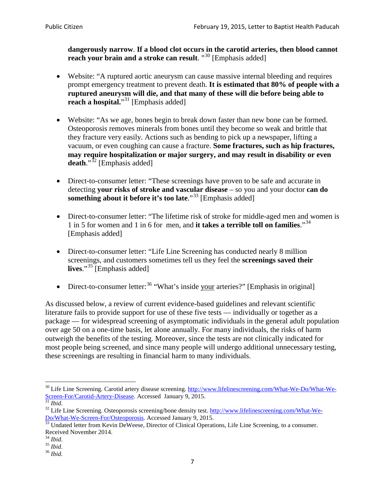**dangerously narrow**. **If a blood clot occurs in the carotid arteries, then blood cannot reach your brain and a stroke can result**. "<sup>[30](#page-6-0)</sup> [Emphasis added]

- Website: "A ruptured aortic aneurysm can cause massive internal bleeding and requires prompt emergency treatment to prevent death. **It is estimated that 80% of people with a ruptured aneurysm will die, and that many of these will die before being able to reach a hospital.**"<sup>[31](#page-6-1)</sup> [Emphasis added]
- Website: "As we age, bones begin to break down faster than new bone can be formed. Osteoporosis removes minerals from bones until they become so weak and brittle that they fracture very easily. Actions such as bending to pick up a newspaper, lifting a vacuum, or even coughing can cause a fracture. **Some fractures, such as hip fractures, may require hospitalization or major surgery, and may result in disability or even**  death."<sup>[32](#page-6-2)</sup> [Emphasis added]
- Direct-to-consumer letter: "These screenings have proven to be safe and accurate in detecting **your risks of stroke and vascular disease** – so you and your doctor **can do something about it before it's too late**."<sup>[33](#page-6-3)</sup> [Emphasis added]
- Direct-to-consumer letter: "The lifetime risk of stroke for middle-aged men and women is 1 in 5 for women and 1 in 6 for men, and **it takes a terrible toll on families**."[34](#page-6-4) [Emphasis added]
- Direct-to-consumer letter: "Life Line Screening has conducted nearly 8 million screenings, and customers sometimes tell us they feel the **screenings saved their lives**."[35](#page-6-5) [Emphasis added]
- Direct-to-consumer letter:  $36$  "What's inside your arteries?" [Emphasis in original]

As discussed below, a review of current evidence-based guidelines and relevant scientific literature fails to provide support for use of these five tests — individually or together as a package — for widespread screening of asymptomatic individuals in the general adult population over age 50 on a one-time basis, let alone annually. For many individuals, the risks of harm outweigh the benefits of the testing. Moreover, since the tests are not clinically indicated for most people being screened, and since many people will undergo additional unnecessary testing, these screenings are resulting in financial harm to many individuals.

<span id="page-6-0"></span><sup>&</sup>lt;sup>30</sup> Life Line Screening. Carotid artery disease screening. [http://www.lifelinescreening.com/What-We-Do/What-We-](http://www.lifelinescreening.com/What-We-Do/What-We-Screen-For/Carotid-Artery-Disease)[Screen-For/Carotid-Artery-Disease.](http://www.lifelinescreening.com/What-We-Do/What-We-Screen-For/Carotid-Artery-Disease) Accessed January 9, 2015.<br><sup>31</sup> *Ibid.* 32 Life Line Screening. Osteoporosis screening/bone density test. [http://www.lifelinescreening.com/What-We-](http://www.lifelinescreening.com/What-We-Do/What-We-Screen-For/Osteoporosis)

<span id="page-6-2"></span><span id="page-6-1"></span>[Do/What-We-Screen-For/Osteoporosis.](http://www.lifelinescreening.com/What-We-Do/What-We-Screen-For/Osteoporosis) Accessed January 9, 2015. <sup>33</sup> Undated letter from Kevin DeWeese, Director of Clinical Operations, Life Line Screening, to a consumer.

<span id="page-6-3"></span>Received November 2014.<br><sup>34</sup> Ibid.

<span id="page-6-4"></span>

<span id="page-6-5"></span><sup>34</sup> *Ibid*. 35 *Ibid*. 36 *Ibid*.

<span id="page-6-6"></span>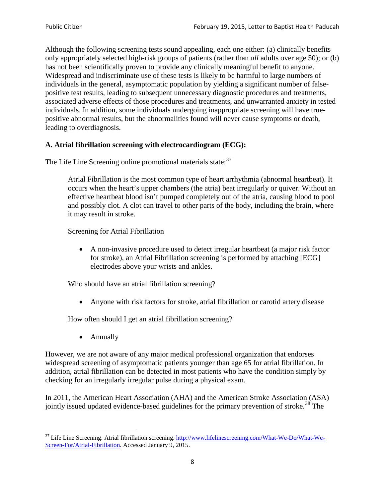Although the following screening tests sound appealing, each one either: (a) clinically benefits only appropriately selected high-risk groups of patients (rather than *all* adults over age 50); or (b) has not been scientifically proven to provide any clinically meaningful benefit to anyone. Widespread and indiscriminate use of these tests is likely to be harmful to large numbers of individuals in the general, asymptomatic population by yielding a significant number of falsepositive test results, leading to subsequent unnecessary diagnostic procedures and treatments, associated adverse effects of those procedures and treatments, and unwarranted anxiety in tested individuals. In addition, some individuals undergoing inappropriate screening will have truepositive abnormal results, but the abnormalities found will never cause symptoms or death, leading to overdiagnosis.

## **A. Atrial fibrillation screening with electrocardiogram (ECG):**

The Life Line Screening online promotional materials state:<sup>[37](#page-7-0)</sup>

Atrial Fibrillation is the most common type of heart arrhythmia (abnormal heartbeat). It occurs when the heart's upper chambers (the atria) beat irregularly or quiver. Without an effective heartbeat blood isn't pumped completely out of the atria, causing blood to pool and possibly clot. A clot can travel to other parts of the body, including the brain, where it may result in stroke.

Screening for Atrial Fibrillation

• A non-invasive procedure used to detect irregular heartbeat (a major risk factor for stroke), an Atrial Fibrillation screening is performed by attaching [ECG] electrodes above your wrists and ankles.

Who should have an atrial fibrillation screening?

• Anyone with risk factors for stroke, atrial fibrillation or carotid artery disease

How often should I get an atrial fibrillation screening?

• Annually

<span id="page-7-1"></span>However, we are not aware of any major medical professional organization that endorses widespread screening of asymptomatic patients younger than age 65 for atrial fibrillation. In addition, atrial fibrillation can be detected in most patients who have the condition simply by checking for an irregularly irregular pulse during a physical exam.

In 2011, the American Heart Association (AHA) and the American Stroke Association (ASA) jointly issued updated evidence-based guidelines for the primary prevention of stroke.<sup>[38](#page-7-1)</sup> The

<span id="page-7-0"></span><sup>&</sup>lt;sup>37</sup> Life Line Screening. Atrial fibrillation screening. [http://www.lifelinescreening.com/What-We-Do/What-We-](http://www.lifelinescreening.com/What-We-Do/What-We-Screen-For/Atrial-Fibrillation)[Screen-For/Atrial-Fibrillation.](http://www.lifelinescreening.com/What-We-Do/What-We-Screen-For/Atrial-Fibrillation) Accessed January 9, 2015.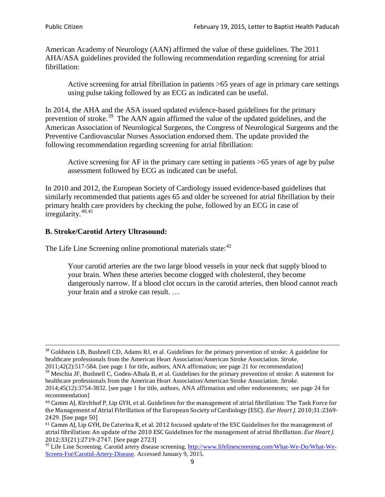American Academy of Neurology (AAN) affirmed the value of these guidelines. The 2011 AHA/ASA guidelines provided the following recommendation regarding screening for atrial fibrillation:

Active screening for atrial fibrillation in patients >65 years of age in primary care settings using pulse taking followed by an ECG as indicated can be useful.

In 2014, the AHA and the ASA issued updated evidence-based guidelines for the primary prevention of stroke.<sup>[39](#page-8-0)</sup> The AAN again affirmed the value of the updated guidelines, and the American Association of Neurological Surgeons, the Congress of Neurological Surgeons and the Preventive Cardiovascular Nurses Association endorsed them. The update provided the following recommendation regarding screening for atrial fibrillation:

Active screening for AF in the primary care setting in patients >65 years of age by pulse assessment followed by ECG as indicated can be useful.

In 2010 and 2012, the European Society of Cardiology issued evidence-based guidelines that similarly recommended that patients ages 65 and older be screened for atrial fibrillation by their primary health care providers by checking the pulse, followed by an ECG in case of  $irregularity.<sup>40,41</sup>$  $irregularity.<sup>40,41</sup>$  $irregularity.<sup>40,41</sup>$  $irregularity.<sup>40,41</sup>$ 

# **B. Stroke/Carotid Artery Ultrasound:**

The Life Line Screening online promotional materials state:<sup>[42](#page-8-3)</sup>

Your carotid arteries are the two large blood vessels in your neck that supply blood to your brain. When these arteries become clogged with cholesterol, they become dangerously narrow. If a blood clot occurs in the carotid arteries, then blood cannot reach your brain and a stroke can result. …

<sup>&</sup>lt;sup>38</sup> Goldstein LB, Bushnell CD, Adams RJ, et al. Guidelines for the primary prevention of stroke: A guideline for healthcare professionals from the American Heart Association/American Stroke Association. *Stroke*.

<sup>2011;42(2):517-584.</sup> [see page 1 for title, authors, ANA affirmation; see page 21 for recommendation]

<span id="page-8-0"></span> $\frac{2011,42(2)(317,601)}{39}$  Meschia JF, Bushnell C, Goden-Albala B, et al. Guidelines for the primary prevention of stroke: A statement for healthcare professionals from the American Heart Association/American Stroke Association. *Stroke*.

<sup>2014;45(12):3754-3832.</sup> [see page 1 for title, authors, ANA affirmation and other endorsements; see page 24 for recommendation]

<span id="page-8-1"></span><sup>40</sup> Camm AJ, Kirchhof P, Lip GYH, et al. Guidelines for the management of atrial fibrillation: The Task Force for the Management of Atrial Fibrillation of the European Society of Cardiology (ESC). *Eur Heart J*. 2010;31:2369- 2429. [See page 50]

<span id="page-8-2"></span><sup>41</sup> Camm AJ, Lip GYH, De Caterina R, et al. 2012 focused update of the ESC Guidelines for the management of atrial fibrillation: An update of the 2010 ESC Guidelines for the management of atrial fibrillation. *Eur Heart J*.

<span id="page-8-3"></span><sup>2012;33(21):2719-2747. [</sup>See page 2723]<br><sup>42</sup> Life Line Screening. Carotid artery disease screening. [http://www.lifelinescreening.com/What-We-Do/What-We-](http://www.lifelinescreening.com/What-We-Do/What-We-Screen-For/Carotid-Artery-Disease)[Screen-For/Carotid-Artery-Disease.](http://www.lifelinescreening.com/What-We-Do/What-We-Screen-For/Carotid-Artery-Disease) Accessed January 9, 2015.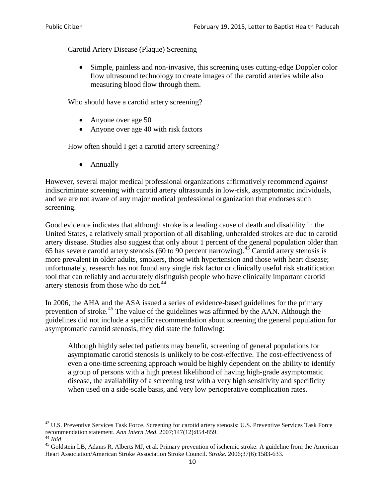Carotid Artery Disease (Plaque) Screening

• Simple, painless and non-invasive, this screening uses cutting-edge Doppler color flow ultrasound technology to create images of the carotid arteries while also measuring blood flow through them.

Who should have a carotid artery screening?

- Anyone over age 50
- Anyone over age 40 with risk factors

How often should I get a carotid artery screening?

• Annually

However, several major medical professional organizations affirmatively recommend *against* indiscriminate screening with carotid artery ultrasounds in low-risk, asymptomatic individuals, and we are not aware of any major medical professional organization that endorses such screening.

Good evidence indicates that although stroke is a leading cause of death and disability in the United States, a relatively small proportion of all disabling, unheralded strokes are due to carotid artery disease. Studies also suggest that only about 1 percent of the general population older than 65 has severe carotid artery stenosis (60 to 90 percent narrowing).<sup>[43](#page-9-0)</sup> Carotid artery stenosis is more prevalent in older adults, smokers, those with hypertension and those with heart disease; unfortunately, research has not found any single risk factor or clinically useful risk stratification tool that can reliably and accurately distinguish people who have clinically important carotid artery stenosis from those who do not.<sup>[44](#page-9-1)</sup>

In 2006, the AHA and the ASA issued a series of evidence-based guidelines for the primary prevention of stroke.<sup>[45](#page-9-2)</sup> The value of the guidelines was affirmed by the AAN. Although the guidelines did not include a specific recommendation about screening the general population for asymptomatic carotid stenosis, they did state the following:

Although highly selected patients may benefit, screening of general populations for asymptomatic carotid stenosis is unlikely to be cost-effective. The cost-effectiveness of even a one-time screening approach would be highly dependent on the ability to identify a group of persons with a high pretest likelihood of having high-grade asymptomatic disease, the availability of a screening test with a very high sensitivity and specificity when used on a side-scale basis, and very low perioperative complication rates.

<span id="page-9-0"></span> $^{43}$  U.S. Preventive Services Task Force. Screening for carotid artery stenosis: U.S. Preventive Services Task Force recommendation statement. Ann Intern Med. 2007;147(12):854-859.

<span id="page-9-2"></span><span id="page-9-1"></span><sup>&</sup>lt;sup>44</sup> *Ibid*. <sup>45</sup> Goldstein LB, Adams R, Alberts MJ, et al. Primary prevention of ischemic stroke: A guideline from the American <sup>45</sup> Goldstein LB, Adams R, Alberts MJ, et al. Primary prevention of ischemic stroke: A guide Heart Association/American Stroke Association Stroke Council. *Stroke*. 2006;37(6):1583-633.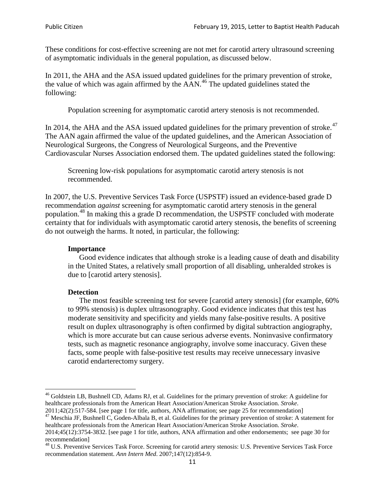These conditions for cost-effective screening are not met for carotid artery ultrasound screening of asymptomatic individuals in the general population, as discussed below.

In 2011, the AHA and the ASA issued updated guidelines for the primary prevention of stroke, the value of which was again affirmed by the  $AAN<sup>46</sup>$  $AAN<sup>46</sup>$  $AAN<sup>46</sup>$ . The updated guidelines stated the following:

Population screening for asymptomatic carotid artery stenosis is not recommended.

In 2014, the AHA and the ASA issued updated guidelines for the primary prevention of stroke.<sup>47</sup> The AAN again affirmed the value of the updated guidelines, and the American Association of Neurological Surgeons, the Congress of Neurological Surgeons, and the Preventive Cardiovascular Nurses Association endorsed them. The updated guidelines stated the following:

Screening low-risk populations for asymptomatic carotid artery stenosis is not recommended.

In 2007, the U.S. Preventive Services Task Force (USPSTF) issued an evidence-based grade D recommendation *against* screening for asymptomatic carotid artery stenosis in the general population.[48](#page-10-2) In making this a grade D recommendation, the USPSTF concluded with moderate certainty that for individuals with asymptomatic carotid artery stenosis, the benefits of screening do not outweigh the harms. It noted, in particular, the following:

#### **Importance**

Good evidence indicates that although stroke is a leading cause of death and disability in the United States, a relatively small proportion of all disabling, unheralded strokes is due to [carotid artery stenosis].

#### **Detection**

The most feasible screening test for severe [carotid artery stenosis] (for example, 60% to 99% stenosis) is duplex ultrasonography. Good evidence indicates that this test has moderate sensitivity and specificity and yields many false-positive results. A positive result on duplex ultrasonography is often confirmed by digital subtraction angiography, which is more accurate but can cause serious adverse events. Noninvasive confirmatory tests, such as magnetic resonance angiography, involve some inaccuracy. Given these facts, some people with false-positive test results may receive unnecessary invasive carotid endarterectomy surgery.

<span id="page-10-0"></span><sup>&</sup>lt;sup>46</sup> Goldstein LB, Bushnell CD, Adams RJ, et al. Guidelines for the primary prevention of stroke: A guideline for healthcare professionals from the American Heart Association/American Stroke Association. *Stroke*.<br>2011;42(2):517-584. [see page 1 for title, authors, ANA affirmation; see page 25 for recommendation]

<span id="page-10-1"></span><sup>&</sup>lt;sup>47</sup> Meschia JF, Bushnell C, Goden-Albala B, et al. Guidelines for the primary prevention of stroke: A statement for healthcare professionals from the American Heart Association/American Stroke Association. *Stroke*. 2014;45(12):3754-3832. [see page 1 for title, authors, ANA affirmation and other endorsements; see page 30 for

recommendation] <sup>48</sup> U.S. Preventive Services Task Force. Screening for carotid artery stenosis: U.S. Preventive Services Task Force

<span id="page-10-2"></span>recommendation statement. *Ann Intern Med*. 2007;147(12):854-9.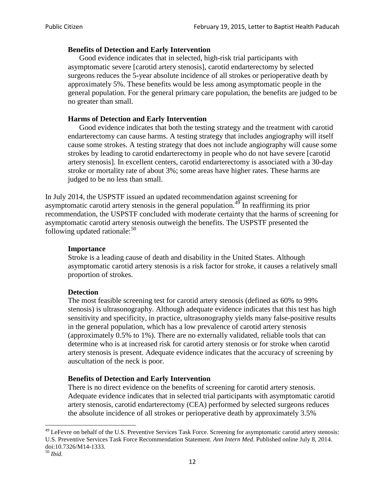### **Benefits of Detection and Early Intervention**

Good evidence indicates that in selected, high-risk trial participants with asymptomatic severe [carotid artery stenosis], carotid endarterectomy by selected surgeons reduces the 5-year absolute incidence of all strokes or perioperative death by approximately 5%. These benefits would be less among asymptomatic people in the general population. For the general primary care population, the benefits are judged to be no greater than small.

### **Harms of Detection and Early Intervention**

Good evidence indicates that both the testing strategy and the treatment with carotid endarterectomy can cause harms. A testing strategy that includes angiography will itself cause some strokes. A testing strategy that does not include angiography will cause some strokes by leading to carotid endarterectomy in people who do not have severe [carotid artery stenosis]. In excellent centers, carotid endarterectomy is associated with a 30-day stroke or mortality rate of about 3%; some areas have higher rates. These harms are judged to be no less than small.

In July 2014, the USPSTF issued an updated recommendation against screening for asymptomatic carotid artery stenosis in the general population.<sup>[49](#page-11-0)</sup> In reaffirming its prior recommendation, the USPSTF concluded with moderate certainty that the harms of screening for asymptomatic carotid artery stenosis outweigh the benefits. The USPSTF presented the following updated rationale: $50$ 

### **Importance**

Stroke is a leading cause of death and disability in the United States. Although asymptomatic carotid artery stenosis is a risk factor for stroke, it causes a relatively small proportion of strokes.

#### **Detection**

The most feasible screening test for carotid artery stenosis (defined as 60% to 99% stenosis) is ultrasonography. Although adequate evidence indicates that this test has high sensitivity and specificity, in practice, ultrasonography yields many false-positive results in the general population, which has a low prevalence of carotid artery stenosis (approximately 0.5% to 1%). There are no externally validated, reliable tools that can determine who is at increased risk for carotid artery stenosis or for stroke when carotid artery stenosis is present. Adequate evidence indicates that the accuracy of screening by auscultation of the neck is poor.

#### **Benefits of Detection and Early Intervention**

There is no direct evidence on the benefits of screening for carotid artery stenosis. Adequate evidence indicates that in selected trial participants with asymptomatic carotid artery stenosis, carotid endarterectomy (CEA) performed by selected surgeons reduces the absolute incidence of all strokes or perioperative death by approximately 3.5%

<span id="page-11-0"></span><sup>&</sup>lt;sup>49</sup> LeFevre on behalf of the U.S. Preventive Services Task Force. Screening for asymptomatic carotid artery stenosis: U.S. Preventive Services Task Force Recommendation Statement. *Ann Intern Med*. Published online July 8, 2014. doi:10.7326/M14-1333. <sup>50</sup> *Ibid*.

<span id="page-11-1"></span>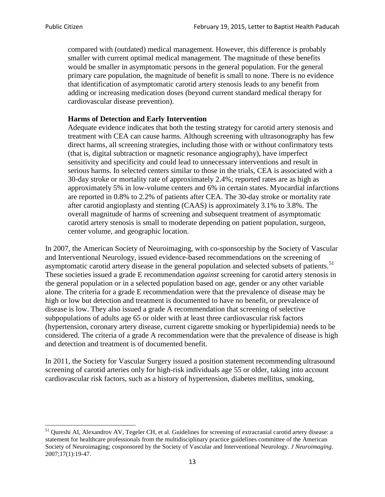compared with (outdated) medical management. However, this difference is probably smaller with current optimal medical management. The magnitude of these benefits would be smaller in asymptomatic persons in the general population. For the general primary care population, the magnitude of benefit is small to none. There is no evidence that identification of asymptomatic carotid artery stenosis leads to any benefit from adding or increasing medication doses (beyond current standard medical therapy for cardiovascular disease prevention).

### **Harms of Detection and Early Intervention**

Adequate evidence indicates that both the testing strategy for carotid artery stenosis and treatment with CEA can cause harms. Although screening with ultrasonography has few direct harms, all screening strategies, including those with or without confirmatory tests (that is, digital subtraction or magnetic resonance angiography), have imperfect sensitivity and specificity and could lead to unnecessary interventions and result in serious harms. In selected centers similar to those in the trials, CEA is associated with a 30-day stroke or mortality rate of approximately 2.4%; reported rates are as high as approximately 5% in low-volume centers and 6% in certain states. Myocardial infarctions are reported in 0.8% to 2.2% of patients after CEA. The 30-day stroke or mortality rate after carotid angioplasty and stenting (CAAS) is approximately 3.1% to 3.8%. The overall magnitude of harms of screening and subsequent treatment of asymptomatic carotid artery stenosis is small to moderate depending on patient population, surgeon, center volume, and geographic location.

In 2007, the American Society of Neuroimaging, with co-sponsorship by the Society of Vascular and Interventional Neurology, issued evidence-based recommendations on the screening of asymptomatic carotid artery disease in the general population and selected subsets of patients.<sup>[51](#page-12-0)</sup> These societies issued a grade E recommendation *against* screening for carotid artery stenosis in the general population or in a selected population based on age, gender or any other variable alone. The criteria for a grade E recommendation were that the prevalence of disease may be high or low but detection and treatment is documented to have no benefit, or prevalence of disease is low. They also issued a grade A recommendation that screening of selective subpopulations of adults age 65 or older with at least three cardiovascular risk factors (hypertension, coronary artery disease, current cigarette smoking or hyperlipidemia) needs to be considered. The criteria of a grade A recommendation were that the prevalence of disease is high and detection and treatment is of documented benefit.

In 2011, the Society for Vascular Surgery issued a position statement recommending ultrasound screening of carotid arteries only for high-risk individuals age 55 or older, taking into account cardiovascular risk factors, such as a history of hypertension, diabetes mellitus, smoking,

<span id="page-12-0"></span><sup>&</sup>lt;sup>51</sup> Qureshi AI, Alexandrov AV, Tegeler CH, et al. Guidelines for screening of extracranial carotid artery disease: a statement for healthcare professionals from the multidisciplinary practice guidelines committee of the American Society of Neuroimaging; cosponsored by the Society of Vascular and Interventional Neurology. *J Neuroimaging*. 2007;17(1):19-47.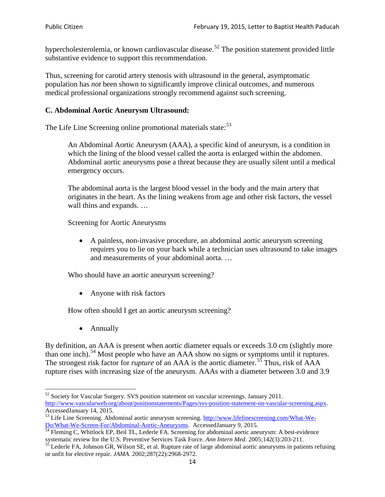hypercholesterolemia, or known cardiovascular disease.<sup>[52](#page-13-0)</sup> The position statement provided little substantive evidence to support this recommendation.

Thus, screening for carotid artery stenosis with ultrasound in the general, asymptomatic population has *not* been shown to significantly improve clinical outcomes, and numerous medical professional organizations strongly recommend against such screening.

### **C. Abdominal Aortic Aneurysm Ultrasound:**

The Life Line Screening online promotional materials state:<sup>[53](#page-13-1)</sup>

An Abdominal Aortic Aneurysm (AAA), a specific kind of aneurysm, is a condition in which the lining of the blood vessel called the aorta is enlarged within the abdomen. Abdominal aortic aneurysms pose a threat because they are usually silent until a medical emergency occurs.

The abdominal aorta is the largest blood vessel in the body and the main artery that originates in the heart. As the lining weakens from age and other risk factors, the vessel wall thins and expands. …

Screening for Aortic Aneurysms

• A painless, non-invasive procedure, an abdominal aortic aneurysm screening requires you to lie on your back while a technician uses ultrasound to take images and measurements of your abdominal aorta. …

Who should have an aortic aneurysm screening?

• Anyone with risk factors

How often should I get an aortic aneurysm screening?

• Annually

By definition, an AAA is present when aortic diameter equals or exceeds 3.0 cm (slightly more than one inch).<sup>[54](#page-13-2)</sup> Most people who have an AAA show no signs or symptoms until it ruptures. The strongest risk factor for *rupture* of an AAA is the aortic diameter.<sup>[55](#page-13-3)</sup> Thus, risk of AAA rupture rises with increasing size of the aneurysm. AAAs with a diameter between 3.0 and 3.9

<span id="page-13-0"></span> $52$  Society for Vascular Surgery. SVS position statement on vascular screenings. January 2011. http://www.vascularweb.org/about/positionstatements/Pages/svs-position-statement-on-vascular-screening.aspx.<br>Accessed January 14, 2015.

<span id="page-13-1"></span>Accessed Line Screening. Abdominal aortic aneurysm screening. http://www.lifelinescreening.com/What-We-<br>Do/What-We-Screen-For/Abdominal-Aortic-Aneurysms. Accessed January 9, 2015.

<span id="page-13-2"></span> $\frac{1}{54}$  Fleming C, Whitlock EP, Beil TL, Lederle FA. Screening for abdominal aortic aneurysm: A best-evidence systematic review for the U.S. Preventive Services Task Force. *Ann Intern Med.* 2005;142(3):203-211.<br><sup>55</sup> Lederle FA, Johnson GR, Wilson SE, et al. Rupture rate of large abdominal aortic aneurysms in patients refusing

<span id="page-13-3"></span>or unfit for elective repair. *JAMA*. 2002;287(22):2968-2972.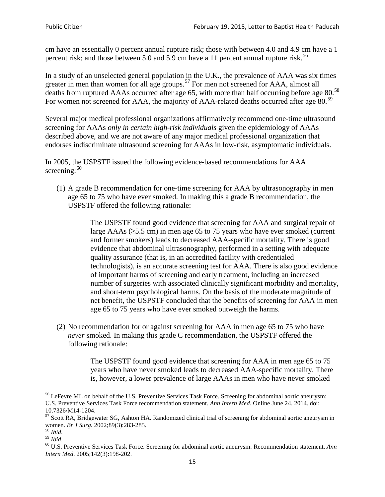cm have an essentially 0 percent annual rupture risk; those with between 4.0 and 4.9 cm have a 1 percent risk; and those between 5.0 and 5.9 cm have a 11 percent annual rupture risk.<sup>[56](#page-14-0)</sup>

In a study of an unselected general population in the U.K., the prevalence of AAA was six times greater in men than women for all age groups.<sup>[57](#page-14-1)</sup> For men not screened for  $AAA$ , almost all deaths from ruptured AAAs occurred after age 65, with more than half occurring before age 80.<sup>[58](#page-14-2)</sup> For women not screened for AAA, the majority of AAA-related deaths occurred after age 80.<sup>[59](#page-14-3)</sup>

Several major medical professional organizations affirmatively recommend one-time ultrasound screening for AAAs *only in certain high-risk individuals* given the epidemiology of AAAs described above, and we are not aware of any major medical professional organization that endorses indiscriminate ultrasound screening for AAAs in low-risk, asymptomatic individuals.

In 2005, the USPSTF issued the following evidence-based recommendations for AAA screening:  $60$ 

(1) A grade B recommendation for one-time screening for AAA by ultrasonography in men age 65 to 75 who have ever smoked. In making this a grade [B recommendation,](http://www.uspreventiveservicestaskforce.org/uspstf/gradespre.htm#brec) the USPSTF offered the following rationale:

> The USPSTF found good evidence that screening for AAA and surgical repair of large AAAs ( $\geq$ 5.5 cm) in men age 65 to 75 years who have ever smoked (current and former smokers) leads to decreased AAA-specific mortality. There is good evidence that abdominal ultrasonography, performed in a setting with adequate quality assurance (that is, in an accredited facility with credentialed technologists), is an accurate screening test for AAA. There is also good evidence of important harms of screening and early treatment, including an increased number of surgeries with associated clinically significant morbidity and mortality, and short-term psychological harms. On the basis of the moderate magnitude of net benefit, the USPSTF concluded that the benefits of screening for AAA in men age 65 to 75 years who have ever smoked outweigh the harms.

(2) No recommendation for or against screening for AAA in men age 65 to 75 who have *never* smoked. In making this grade C recommendation, the USPSTF offered the following rationale:

> The USPSTF found good evidence that screening for AAA in men age 65 to 75 years who have never smoked leads to decreased AAA-specific mortality. There is, however, a lower prevalence of large AAAs in men who have never smoked

<span id="page-14-0"></span><sup>&</sup>lt;sup>56</sup> LeFevre ML on behalf of the U.S. Preventive Services Task Force. Screening for abdominal aortic aneurysm: U.S. Preventive Services Task Force recommendation statement. *Ann Intern Med*. Online June 24, 2014. doi:

<span id="page-14-1"></span><sup>10.7326/</sup>M14-1204.<br> $57$  Scott RA, Bridgewater SG, Ashton HA. Randomized clinical trial of screening for abdominal aortic aneurysm in women. *Br J Surg.* 2002;89(3):283-285.

<span id="page-14-4"></span><span id="page-14-3"></span>

<span id="page-14-2"></span><sup>&</sup>lt;sup>58</sup> *Ibid.*<br><sup>59</sup> *Ibid.* 2002;<br><sup>60</sup> U.S. Preventive Services Task Force. Screening for abdominal aortic aneurysm: Recommendation statement. *Ann Intern Med*. 2005;142(3):198-202.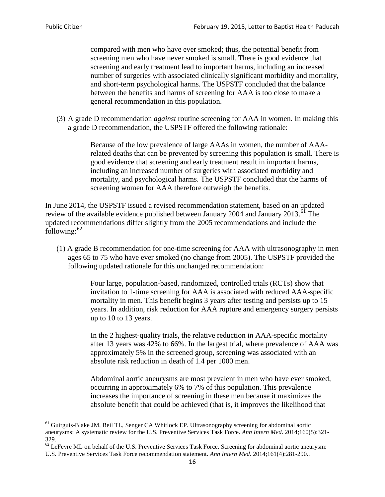compared with men who have ever smoked; thus, the potential benefit from screening men who have never smoked is small. There is good evidence that screening and early treatment lead to important harms, including an increased number of surgeries with associated clinically significant morbidity and mortality, and short-term psychological harms. The USPSTF concluded that the balance between the benefits and harms of screening for AAA is too close to make a general recommendation in this population.

(3) A grade D recommendation *against* routine screening for AAA in women. In making this a grade D recommendation, the USPSTF offered the following rationale:

> Because of the low prevalence of large AAAs in women, the number of AAArelated deaths that can be prevented by screening this population is small. There is good evidence that screening and early treatment result in important harms, including an increased number of surgeries with associated morbidity and mortality, and psychological harms. The USPSTF concluded that the harms of screening women for AAA therefore outweigh the benefits.

In June 2014, the USPSTF issued a revised recommendation statement, based on an updated review of the available evidence published between January 2004 and January 2013.<sup>[61](#page-15-0)</sup> The updated recommendations differ slightly from the 2005 recommendations and include the following: $62$ 

(1) A grade B recommendation for one-time screening for AAA with ultrasonography in men ages 65 to 75 who have ever smoked (no change from 2005). The USPSTF provided the following updated rationale for this unchanged recommendation:

> Four large, population-based, randomized, controlled trials (RCTs) show that invitation to 1-time screening for AAA is associated with reduced AAA-specific mortality in men. This benefit begins 3 years after testing and persists up to 15 years. In addition, risk reduction for AAA rupture and emergency surgery persists up to 10 to 13 years.

> In the 2 highest-quality trials, the relative reduction in AAA-specific mortality after 13 years was 42% to 66%. In the largest trial, where prevalence of AAA was approximately 5% in the screened group, screening was associated with an absolute risk reduction in death of 1.4 per 1000 men.

Abdominal aortic aneurysms are most prevalent in men who have ever smoked, occurring in approximately 6% to 7% of this population. This prevalence increases the importance of screening in these men because it maximizes the absolute benefit that could be achieved (that is, it improves the likelihood that

<span id="page-15-0"></span><sup>61</sup> Guirguis-Blake JM, Beil TL, Senger CA Whitlock EP. Ultrasonography screening for abdominal aortic aneurysms: A systematic review for the U.S. Preventive Services Task Force. *Ann Intern Med*. 2014;160(5):321- 329.

<span id="page-15-1"></span> $62$  LeFevre ML on behalf of the U.S. Preventive Services Task Force. Screening for abdominal aortic aneurysm: U.S. Preventive Services Task Force recommendation statement. *Ann Intern Med*. 2014;161(4):281-290..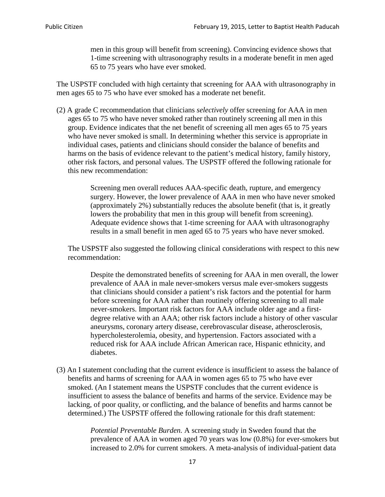men in this group will benefit from screening). Convincing evidence shows that 1-time screening with ultrasonography results in a moderate benefit in men aged 65 to 75 years who have ever smoked.

The USPSTF concluded with high certainty that screening for AAA with ultrasonography in men ages 65 to 75 who have ever smoked has a moderate net benefit.

(2) A grade C recommendation that clinicians *selectively* offer screening for AAA in men ages 65 to 75 who have never smoked rather than routinely screening all men in this group. Evidence indicates that the net benefit of screening all men ages 65 to 75 years who have never smoked is small. In determining whether this service is appropriate in individual cases, patients and clinicians should consider the balance of benefits and harms on the basis of evidence relevant to the patient's medical history, family history, other risk factors, and personal values. The USPSTF offered the following rationale for this new recommendation:

> Screening men overall reduces AAA-specific death, rupture, and emergency surgery. However, the lower prevalence of AAA in men who have never smoked (approximately 2%) substantially reduces the absolute benefit (that is, it greatly lowers the probability that men in this group will benefit from screening). Adequate evidence shows that 1-time screening for AAA with ultrasonography results in a small benefit in men aged 65 to 75 years who have never smoked.

The USPSTF also suggested the following clinical considerations with respect to this new recommendation:

Despite the demonstrated benefits of screening for AAA in men overall, the lower prevalence of AAA in male never-smokers versus male ever-smokers suggests that clinicians should consider a patient's risk factors and the potential for harm before screening for AAA rather than routinely offering screening to all male never-smokers. Important risk factors for AAA include older age and a firstdegree relative with an AAA; other risk factors include a history of other vascular aneurysms, coronary artery disease, cerebrovascular disease, atherosclerosis, hypercholesterolemia, obesity, and hypertension. Factors associated with a reduced risk for AAA include African American race, Hispanic ethnicity, and diabetes.

(3) An I statement concluding that the current evidence is insufficient to assess the balance of benefits and harms of screening for AAA in women ages 65 to 75 who have ever smoked. (An I statement means the USPSTF concludes that the current evidence is insufficient to assess the balance of benefits and harms of the service. Evidence may be lacking, of poor quality, or conflicting, and the balance of benefits and harms cannot be determined.) The USPSTF offered the following rationale for this draft statement:

> *Potential Preventable Burden.* A screening study in Sweden found that the prevalence of AAA in women aged 70 years was low (0.8%) for ever-smokers but increased to 2.0% for current smokers. A meta-analysis of individual-patient data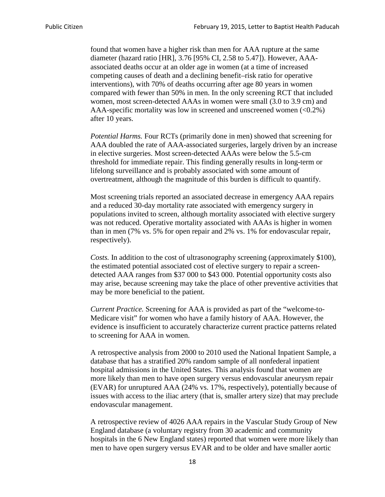found that women have a higher risk than men for AAA rupture at the same diameter (hazard ratio [HR], 3.76 [95% CI, 2.58 to 5.47]). However, AAAassociated deaths occur at an older age in women (at a time of increased competing causes of death and a declining benefit–risk ratio for operative interventions), with 70% of deaths occurring after age 80 years in women compared with fewer than 50% in men. In the only screening RCT that included women, most screen-detected AAAs in women were small (3.0 to 3.9 cm) and AAA-specific mortality was low in screened and unscreened women  $(<0.2\%)$ after 10 years.

*Potential Harms.* Four RCTs (primarily done in men) showed that screening for AAA doubled the rate of AAA-associated surgeries, largely driven by an increase in elective surgeries. Most screen-detected AAAs were below the 5.5-cm threshold for immediate repair. This finding generally results in long-term or lifelong surveillance and is probably associated with some amount of overtreatment, although the magnitude of this burden is difficult to quantify.

Most screening trials reported an associated decrease in emergency AAA repairs and a reduced 30-day mortality rate associated with emergency surgery in populations invited to screen, although mortality associated with elective surgery was not reduced. Operative mortality associated with AAAs is higher in women than in men (7% vs. 5% for open repair and 2% vs. 1% for endovascular repair, respectively).

*Costs.* In addition to the cost of ultrasonography screening (approximately \$100), the estimated potential associated cost of elective surgery to repair a screendetected AAA ranges from \$37 000 to \$43 000. Potential opportunity costs also may arise, because screening may take the place of other preventive activities that may be more beneficial to the patient.

*Current Practice.* Screening for AAA is provided as part of the "welcome-to-Medicare visit" for women who have a family history of AAA. However, the evidence is insufficient to accurately characterize current practice patterns related to screening for AAA in women.

A retrospective analysis from 2000 to 2010 used the National Inpatient Sample, a database that has a stratified 20% random sample of all nonfederal inpatient hospital admissions in the United States. This analysis found that women are more likely than men to have open surgery versus endovascular aneurysm repair (EVAR) for unruptured AAA (24% vs. 17%, respectively), potentially because of issues with access to the iliac artery (that is, smaller artery size) that may preclude endovascular management.

A retrospective review of 4026 AAA repairs in the Vascular Study Group of New England database (a voluntary registry from 30 academic and community hospitals in the 6 New England states) reported that women were more likely than men to have open surgery versus EVAR and to be older and have smaller aortic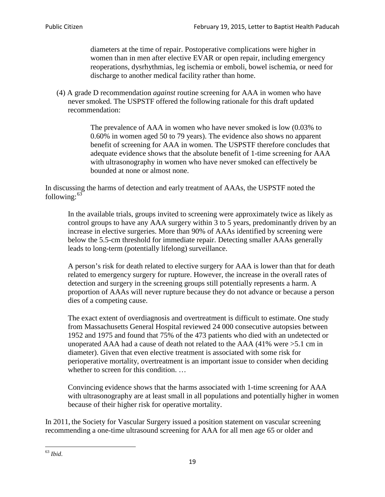diameters at the time of repair. Postoperative complications were higher in women than in men after elective EVAR or open repair, including emergency reoperations, dysrhythmias, leg ischemia or emboli, bowel ischemia, or need for discharge to another medical facility rather than home.

(4) A grade D recommendation *against* routine screening for AAA in women who have never smoked. The USPSTF offered the following rationale for this draft updated recommendation:

> The prevalence of AAA in women who have never smoked is low (0.03% to 0.60% in women aged 50 to 79 years). The evidence also shows no apparent benefit of screening for AAA in women. The USPSTF therefore concludes that adequate evidence shows that the absolute benefit of 1-time screening for AAA with ultrasonography in women who have never smoked can effectively be bounded at none or almost none.

In discussing the harms of detection and early treatment of AAAs, the USPSTF noted the following: $63$ 

In the available trials, groups invited to screening were approximately twice as likely as control groups to have any AAA surgery within 3 to 5 years, predominantly driven by an increase in elective surgeries. More than 90% of AAAs identified by screening were below the 5.5-cm threshold for immediate repair. Detecting smaller AAAs generally leads to long-term (potentially lifelong) surveillance.

A person's risk for death related to elective surgery for AAA is lower than that for death related to emergency surgery for rupture. However, the increase in the overall rates of detection and surgery in the screening groups still potentially represents a harm. A proportion of AAAs will never rupture because they do not advance or because a person dies of a competing cause.

The exact extent of overdiagnosis and overtreatment is difficult to estimate. One study from Massachusetts General Hospital reviewed 24 000 consecutive autopsies between 1952 and 1975 and found that 75% of the 473 patients who died with an undetected or unoperated AAA had a cause of death not related to the AAA (41% were >5.1 cm in diameter). Given that even elective treatment is associated with some risk for perioperative mortality, overtreatment is an important issue to consider when deciding whether to screen for this condition....

Convincing evidence shows that the harms associated with 1-time screening for AAA with ultrasonography are at least small in all populations and potentially higher in women because of their higher risk for operative mortality.

In 2011, the Society for Vascular Surgery issued a position statement on vascular screening recommending a one-time ultrasound screening for AAA for all men age 65 or older and

<span id="page-18-0"></span><sup>63</sup> *Ibid*.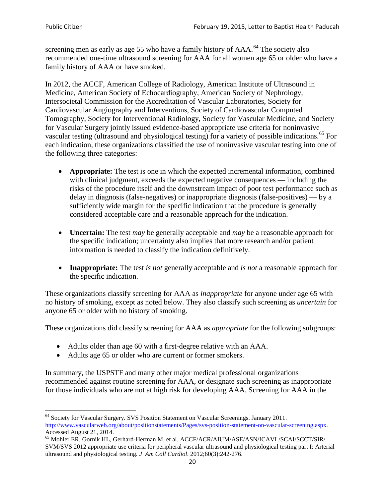screening men as early as age 55 who have a family history of AAA.<sup>[64](#page-19-0)</sup> The society also recommended one-time ultrasound screening for AAA for all women age 65 or older who have a family history of AAA or have smoked.

In 2012, the ACCF, American College of Radiology, American Institute of Ultrasound in Medicine, American Society of Echocardiography, American Society of Nephrology, Intersocietal Commission for the Accreditation of Vascular Laboratories, Society for Cardiovascular Angiography and Interventions, Society of Cardiovascular Computed Tomography, Society for Interventional Radiology, Society for Vascular Medicine, and Society for Vascular Surgery jointly issued evidence-based appropriate use criteria for noninvasive vascular testing (ultrasound and physiological testing) for a variety of possible indications.<sup>[65](#page-19-1)</sup> For each indication, these organizations classified the use of noninvasive vascular testing into one of the following three categories:

- **Appropriate:** The test is one in which the expected incremental information, combined with clinical judgment, exceeds the expected negative consequences — including the risks of the procedure itself and the downstream impact of poor test performance such as delay in diagnosis (false-negatives) or inappropriate diagnosis (false-positives) — by a sufficiently wide margin for the specific indication that the procedure is generally considered acceptable care and a reasonable approach for the indication.
- **Uncertain:** The test *may* be generally acceptable and *may* be a reasonable approach for the specific indication; uncertainty also implies that more research and/or patient information is needed to classify the indication definitively.
- **Inappropriate:** The test *is not* generally acceptable and *is not* a reasonable approach for the specific indication.

These organizations classify screening for AAA as *inappropriate* for anyone under age 65 with no history of smoking, except as noted below. They also classify such screening as *uncertain* for anyone 65 or older with no history of smoking.

These organizations did classify screening for AAA as *appropriate* for the following subgroups:

- Adults older than age 60 with a first-degree relative with an AAA.
- Adults age 65 or older who are current or former smokers.

In summary, the USPSTF and many other major medical professional organizations recommended against routine screening for AAA, or designate such screening as inappropriate for those individuals who are not at high risk for developing AAA. Screening for AAA in the

<span id="page-19-0"></span><sup>64</sup> Society for Vascular Surgery. SVS Position Statement on Vascular Screenings. January 2011. [http://www.vascularweb.org/about/positionstatements/Pages/svs-position-statement-on-vascular-screening.aspx.](http://www.vascularweb.org/about/positionstatements/Pages/svs-position-statement-on-vascular-screening.aspx) 

<span id="page-19-1"></span>Accessed August 21, 2014.<br><sup>65</sup> Mohler ER, Gornik HL, Gerhard-Herman M, et al. ACCF/ACR/AIUM/ASE/ASN/ICAVL/SCAI/SCCT/SIR/ SVM/SVS 2012 appropriate use criteria for peripheral vascular ultrasound and physiological testing part I: Arterial ultrasound and physiological testing*. J Am Coll Cardiol*. 2012;60(3):242-276.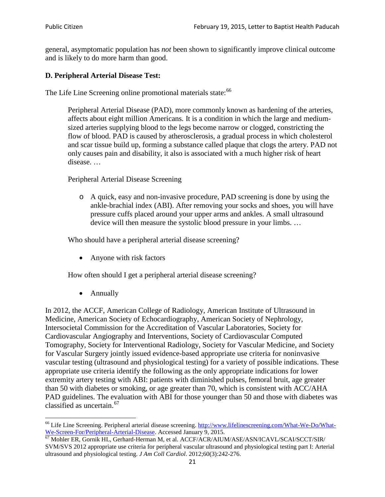general, asymptomatic population has *not* been shown to significantly improve clinical outcome and is likely to do more harm than good.

## **D. Peripheral Arterial Disease Test:**

The Life Line Screening online promotional materials state:<sup>[66](#page-20-0)</sup>

Peripheral Arterial Disease (PAD), more commonly known as hardening of the arteries, affects about eight million Americans. It is a condition in which the large and mediumsized arteries supplying blood to the legs become narrow or clogged, constricting the flow of blood. PAD is caused by atherosclerosis, a gradual process in which cholesterol and scar tissue build up, forming a substance called plaque that clogs the artery. PAD not only causes pain and disability, it also is associated with a much higher risk of heart disease. …

Peripheral Arterial Disease Screening

o A quick, easy and non-invasive procedure, PAD screening is done by using the ankle-brachial index (ABI). After removing your socks and shoes, you will have pressure cuffs placed around your upper arms and ankles. A small ultrasound device will then measure the systolic blood pressure in your limbs. …

Who should have a peripheral arterial disease screening?

• Anyone with risk factors

How often should I get a peripheral arterial disease screening?

• Annually

In 2012, the ACCF, American College of Radiology, American Institute of Ultrasound in Medicine, American Society of Echocardiography, American Society of Nephrology, Intersocietal Commission for the Accreditation of Vascular Laboratories, Society for Cardiovascular Angiography and Interventions, Society of Cardiovascular Computed Tomography, Society for Interventional Radiology, Society for Vascular Medicine, and Society for Vascular Surgery jointly issued evidence-based appropriate use criteria for noninvasive vascular testing (ultrasound and physiological testing) for a variety of possible indications. These appropriate use criteria identify the following as the only appropriate indications for lower extremity artery testing with ABI: patients with diminished pulses, femoral bruit, age greater than 50 with diabetes or smoking, or age greater than 70, which is consistent with ACC/AHA PAD guidelines. The evaluation with ABI for those younger than 50 and those with diabetes was classified as uncertain.<sup>[67](#page-20-1)</sup>

<span id="page-20-0"></span><sup>&</sup>lt;sup>66</sup> Life Line Screening. Peripheral arterial disease screening. [http://www.lifelinescreening.com/What-We-Do/What-](http://www.lifelinescreening.com/What-We-Do/What-We-Screen-For/Peripheral-Arterial-Disease)[We-Screen-For/Peripheral-Arterial-Disease.](http://www.lifelinescreening.com/What-We-Do/What-We-Screen-For/Peripheral-Arterial-Disease) Accessed January 9, 2015.<br><sup>67</sup> Mohler ER, Gornik HL, Gerhard-Herman M, et al. ACCF/ACR/AIUM/ASE/ASN/ICAVL/SCAI/SCCT/SIR/

<span id="page-20-1"></span>SVM/SVS 2012 appropriate use criteria for peripheral vascular ultrasound and physiological testing part I: Arterial ultrasound and physiological testing. *J Am Coll Cardiol*. 2012;60(3):242-276.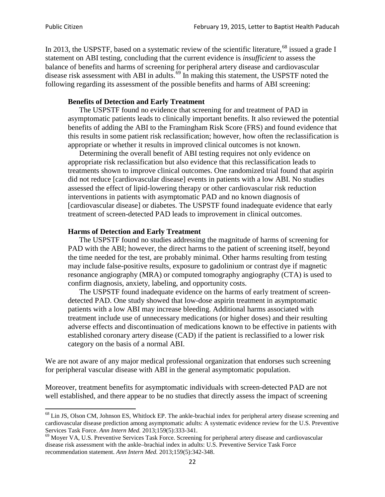In 2013, the USPSTF, based on a systematic review of the scientific literature,<sup>[68](#page-21-0)</sup> issued a grade I statement on ABI testing, concluding that the current evidence is *insufficient* to assess the balance of benefits and harms of screening for peripheral artery disease and cardiovascular disease risk assessment with ABI in adults.<sup>[69](#page-21-1)</sup> In making this statement, the USPSTF noted the following regarding its assessment of the possible benefits and harms of ABI screening:

### **Benefits of Detection and Early Treatment**

The USPSTF found no evidence that screening for and treatment of PAD in asymptomatic patients leads to clinically important benefits. It also reviewed the potential benefits of adding the ABI to the Framingham Risk Score (FRS) and found evidence that this results in some patient risk reclassification; however, how often the reclassification is appropriate or whether it results in improved clinical outcomes is not known.

Determining the overall benefit of ABI testing requires not only evidence on appropriate risk reclassification but also evidence that this reclassification leads to treatments shown to improve clinical outcomes. One randomized trial found that aspirin did not reduce [cardiovascular disease] events in patients with a low ABI. No studies assessed the effect of lipid-lowering therapy or other cardiovascular risk reduction interventions in patients with asymptomatic PAD and no known diagnosis of [cardiovascular disease] or diabetes. The USPSTF found inadequate evidence that early treatment of screen-detected PAD leads to improvement in clinical outcomes.

### **Harms of Detection and Early Treatment**

The USPSTF found no studies addressing the magnitude of harms of screening for PAD with the ABI; however, the direct harms to the patient of screening itself, beyond the time needed for the test, are probably minimal. Other harms resulting from testing may include false-positive results, exposure to gadolinium or contrast dye if magnetic resonance angiography (MRA) or computed tomography angiography (CTA) is used to confirm diagnosis, anxiety, labeling, and opportunity costs.

The USPSTF found inadequate evidence on the harms of early treatment of screendetected PAD. One study showed that low-dose aspirin treatment in asymptomatic patients with a low ABI may increase bleeding. Additional harms associated with treatment include use of unnecessary medications (or higher doses) and their resulting adverse effects and discontinuation of medications known to be effective in patients with established coronary artery disease (CAD) if the patient is reclassified to a lower risk category on the basis of a normal ABI.

We are not aware of any major medical professional organization that endorses such screening for peripheral vascular disease with ABI in the general asymptomatic population.

Moreover, treatment benefits for asymptomatic individuals with screen-detected PAD are not well established, and there appear to be no studies that directly assess the impact of screening

<span id="page-21-0"></span><sup>&</sup>lt;sup>68</sup> Lin JS, Olson CM, Johnson ES, Whitlock EP. The ankle-brachial index for peripheral artery disease screening and cardiovascular disease prediction among asymptomatic adults: A systematic evidence review for the U.S. Preventive Services Task Force. *Ann Intern Med.* 2013;159(5):333-341.<br><sup>69</sup> Moyer VA, U.S. Preventive Services Task Force. Screening for peripheral artery disease and cardiovascular

<span id="page-21-1"></span>disease risk assessment with the ankle–brachial index in adults: U.S. Preventive Service Task Force recommendation statement. *Ann Intern Med.* 2013;159(5):342-348.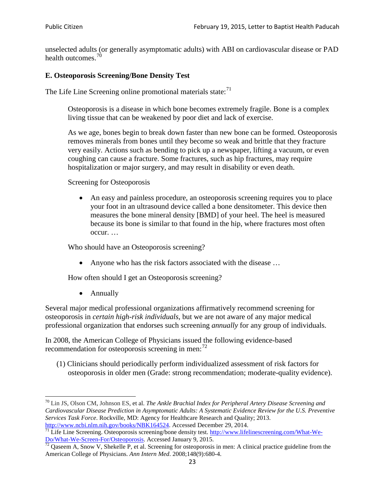unselected adults (or generally asymptomatic adults) with ABI on cardiovascular disease or PAD health outcomes.<sup>[70](#page-22-0)</sup>

## **E. Osteoporosis Screening/Bone Density Test**

The Life Line Screening online promotional materials state: $71$ 

Osteoporosis is a disease in which bone becomes extremely fragile. Bone is a complex living tissue that can be weakened by poor diet and lack of exercise.

As we age, bones begin to break down faster than new bone can be formed. Osteoporosis removes minerals from bones until they become so weak and brittle that they fracture very easily. Actions such as bending to pick up a newspaper, lifting a vacuum, or even coughing can cause a fracture. Some fractures, such as hip fractures, may require hospitalization or major surgery, and may result in disability or even death.

Screening for Osteoporosis

• An easy and painless procedure, an osteoporosis screening requires you to place your foot in an ultrasound device called a bone densitometer. This device then measures the bone mineral density [BMD] of your heel. The heel is measured because its bone is similar to that found in the hip, where fractures most often occur. …

Who should have an Osteoporosis screening?

• Anyone who has the risk factors associated with the disease ...

How often should I get an Osteoporosis screening?

• Annually

Several major medical professional organizations affirmatively recommend screening for osteoporosis in *certain high-risk individuals*, but we are not aware of any major medical professional organization that endorses such screening *annually* for any group of individuals.

In 2008, the American College of Physicians issued the following evidence-based recommendation for osteoporosis screening in men: $^{72}$  $^{72}$  $^{72}$ 

(1) Clinicians should periodically perform individualized assessment of risk factors for osteoporosis in older men (Grade: strong recommendation; moderate-quality evidence).

<span id="page-22-0"></span><sup>70</sup> [Lin JS,](http://www.ncbi.nlm.nih.gov/pubmed?term=Lin%20JS%5BAuthor%5D&cauthor=true&cauthor_uid=24156115) [Olson CM,](http://www.ncbi.nlm.nih.gov/pubmed?term=Olson%20CM%5BAuthor%5D&cauthor=true&cauthor_uid=24156115) [Johnson ES,](http://www.ncbi.nlm.nih.gov/pubmed?term=Johnson%20ES%5BAuthor%5D&cauthor=true&cauthor_uid=24156115) et al. *The Ankle Brachial Index for Peripheral Artery Disease Screening and Cardiovascular Disease Prediction in Asymptomatic Adults: A Systematic Evidence Review for the U.S. Preventive Services Task Force*. Rockville, MD: Agency for Healthcare Research and Quality; 2013.<br>http://www.ncbi.nlm.nih.gov/books/NBK164524. Accessed December 29, 2014.

<span id="page-22-1"></span> $\frac{1}{71}$  Life Line Screening. Osteoporosis screening/bone density test. [http://www.lifelinescreening.com/What-We-](http://www.lifelinescreening.com/What-We-Do/What-We-Screen-For/Osteoporosis)[Do/What-We-Screen-For/Osteoporosis.](http://www.lifelinescreening.com/What-We-Do/What-We-Screen-For/Osteoporosis) Accessed January 9, 2015. <sup>72</sup> Qaseem A, Snow V, Shekelle P, et al. Screening for osteoporosis in men: A clinical practice guideline from the

<span id="page-22-2"></span>American College of Physicians. *Ann Intern Med*. 2008;148(9):680-4.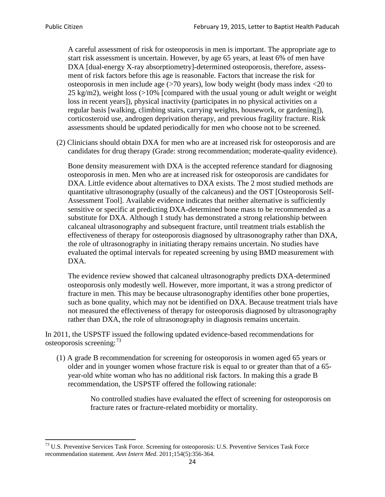A careful assessment of risk for osteoporosis in men is important. The appropriate age to start risk assessment is uncertain. However, by age 65 years, at least 6% of men have DXA [dual-energy X-ray absorptiometry]-determined osteoporosis, therefore, assessment of risk factors before this age is reasonable. Factors that increase the risk for osteoporosis in men include age (>70 years), low body weight (body mass index <20 to 25 kg/m2), weight loss  $\langle$  >10% [compared with the usual young or adult weight or weight loss in recent years]), physical inactivity (participates in no physical activities on a regular basis [walking, climbing stairs, carrying weights, housework, or gardening]), corticosteroid use, androgen deprivation therapy, and previous fragility fracture. Risk assessments should be updated periodically for men who choose not to be screened.

(2) Clinicians should obtain DXA for men who are at increased risk for osteoporosis and are candidates for drug therapy (Grade: strong recommendation; moderate-quality evidence).

Bone density measurement with DXA is the accepted reference standard for diagnosing osteoporosis in men. Men who are at increased risk for osteoporosis are candidates for DXA. Little evidence about alternatives to DXA exists. The 2 most studied methods are quantitative ultrasonography (usually of the calcaneus) and the OST [Osteoporosis Self-Assessment Tool]. Available evidence indicates that neither alternative is sufficiently sensitive or specific at predicting DXA-determined bone mass to be recommended as a substitute for DXA. Although 1 study has demonstrated a strong relationship between calcaneal ultrasonography and subsequent fracture, until treatment trials establish the effectiveness of therapy for osteoporosis diagnosed by ultrasonography rather than DXA, the role of ultrasonography in initiating therapy remains uncertain. No studies have evaluated the optimal intervals for repeated screening by using BMD measurement with DXA.

The evidence review showed that calcaneal ultrasonography predicts DXA-determined osteoporosis only modestly well. However, more important, it was a strong predictor of fracture in men. This may be because ultrasonography identifies other bone properties, such as bone quality, which may not be identified on DXA. Because treatment trials have not measured the effectiveness of therapy for osteoporosis diagnosed by ultrasonography rather than DXA, the role of ultrasonography in diagnosis remains uncertain.

In 2011, the USPSTF issued the following updated evidence-based recommendations for osteoporosis screening:<sup>[73](#page-23-0)</sup>

(1) A grade B recommendation for screening for osteoporosis in women aged 65 years or older and in younger women whose fracture risk is equal to or greater than that of a 65 year-old white woman who has no additional risk factors. In making this a grade B recommendation, the USPSTF offered the following rationale:

> No controlled studies have evaluated the effect of screening for osteoporosis on fracture rates or fracture-related morbidity or mortality.

<span id="page-23-0"></span><sup>&</sup>lt;sup>73</sup> U.S. Preventive Services Task Force. Screening for osteoporosis: U.S. Preventive Services Task Force recommendation statement. *Ann Intern Med*. 2011;154(5):356-364.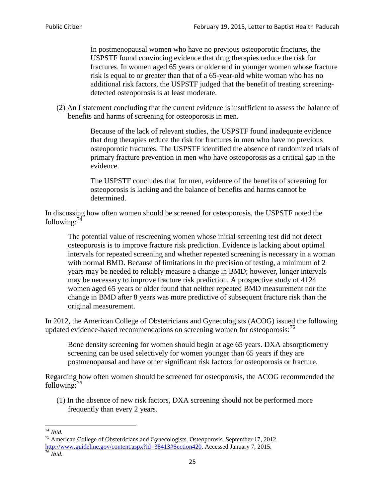In postmenopausal women who have no previous osteoporotic fractures, the USPSTF found convincing evidence that drug therapies reduce the risk for fractures. In women aged 65 years or older and in younger women whose fracture risk is equal to or greater than that of a 65-year-old white woman who has no additional risk factors, the USPSTF judged that the benefit of treating screeningdetected osteoporosis is at least moderate.

(2) An I statement concluding that the current evidence is insufficient to assess the balance of benefits and harms of screening for osteoporosis in men.

> Because of the lack of relevant studies, the USPSTF found inadequate evidence that drug therapies reduce the risk for fractures in men who have no previous osteoporotic fractures. The USPSTF identified the absence of randomized trials of primary fracture prevention in men who have osteoporosis as a critical gap in the evidence.

The USPSTF concludes that for men, evidence of the benefits of screening for osteoporosis is lacking and the balance of benefits and harms cannot be determined.

In discussing how often women should be screened for osteoporosis, the USPSTF noted the following: $74$ 

The potential value of rescreening women whose initial screening test did not detect osteoporosis is to improve fracture risk prediction. Evidence is lacking about optimal intervals for repeated screening and whether repeated screening is necessary in a woman with normal BMD. Because of limitations in the precision of testing, a minimum of 2 years may be needed to reliably measure a change in BMD; however, longer intervals may be necessary to improve fracture risk prediction. A prospective study of 4124 women aged 65 years or older found that neither repeated BMD measurement nor the change in BMD after 8 years was more predictive of subsequent fracture risk than the original measurement.

In 2012, the American College of Obstetricians and Gynecologists (ACOG) issued the following updated evidence-based recommendations on screening women for osteoporosis:<sup>[75](#page-24-1)</sup>

Bone density screening for women should begin at age 65 years. DXA absorptiometry screening can be used selectively for women younger than 65 years if they are postmenopausal and have other significant risk factors for osteoporosis or fracture.

Regarding how often women should be screened for osteoporosis, the ACOG recommended the following: $^{76}$  $^{76}$  $^{76}$ 

(1) In the absence of new risk factors, DXA screening should not be performed more frequently than every 2 years.

<span id="page-24-2"></span><span id="page-24-1"></span><span id="page-24-0"></span><sup>74</sup> *Ibid.* <sup>75</sup> American College of Obstetricians and Gynecologists. Osteoporosis. September 17, 2012. [http://www.guideline.gov/content.aspx?id=38413#Section420.](http://www.guideline.gov/content.aspx?id=38413#Section420) Accessed January 7, 2015.<br><sup>76</sup> *Ibid.*